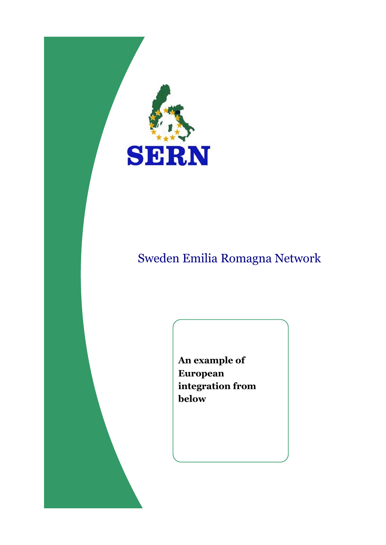

# Sweden Emilia Romagna Network

**An example of European integration from below**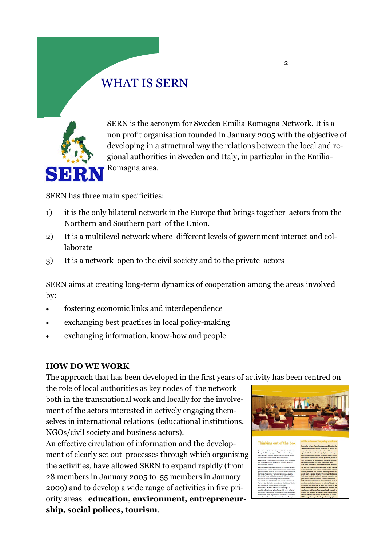# WHAT IS SERN



SERN is the acronym for Sweden Emilia Romagna Network. It is a non profit organisation founded in January 2005 with the objective of developing in a structural way the relations between the local and regional authorities in Sweden and Italy, in particular in the Emilia-Romagna area.

SERN has three main specificities:

- 1) it is the only bilateral network in the Europe that brings together actors from the Northern and Southern part of the Union.
- 2) It is a multilevel network where different levels of government interact and collaborate
- 3) It is a network open to the civil society and to the private actors

SERN aims at creating long-term dynamics of cooperation among the areas involved by:

- fostering economic links and interdependence
- exchanging best practices in local policy-making
- exchanging information, know-how and people

#### **HOW DO WE WORK**

The approach that has been developed in the first years of activity has been centred on

the role of local authorities as key nodes of the network both in the transnational work and locally for the involvement of the actors interested in actively engaging themselves in international relations (educational institutions, NGOs/civil society and business actors).

An effective circulation of information and the development of clearly set out processes through which organising the activities, have allowed SERN to expand rapidly (from 28 members in January 2005 to 55 members in January 2009) and to develop a wide range of activities in five priority areas : **education, environment, entrepreneurship, social polices, tourism**.

king out of the I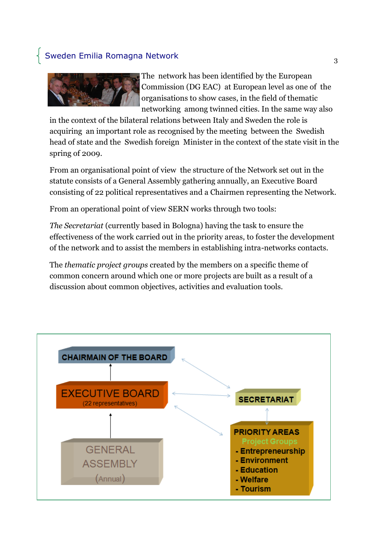### Sweden Emilia Romagna Network



The network has been identified by the European Commission (DG EAC) at European level as one of the organisations to show cases, in the field of thematic networking among twinned cities. In the same way also

in the context of the bilateral relations between Italy and Sweden the role is acquiring an important role as recognised by the meeting between the Swedish head of state and the Swedish foreign Minister in the context of the state visit in the spring of 2009.

From an organisational point of view the structure of the Network set out in the statute consists of a General Assembly gathering annually, an Executive Board consisting of 22 political representatives and a Chairmen representing the Network.

From an operational point of view SERN works through two tools:

*The Secretariat* (currently based in Bologna) having the task to ensure the effectiveness of the work carried out in the priority areas, to foster the development of the network and to assist the members in establishing intra-networks contacts.

The *thematic project groups* created by the members on a specific theme of common concern around which one or more projects are built as a result of a discussion about common objectives, activities and evaluation tools.

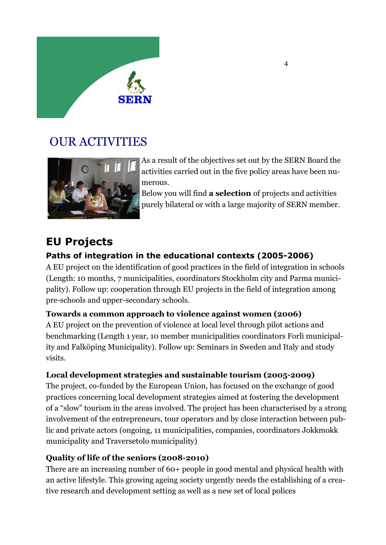

## OUR ACTIVITIES



As a result of the objectives set out by the SERN Board the activities carried out in the five policy areas have been numerous.

Below you will find **a selection** of projects and activities purely bilateral or with a large majority of SERN member.

## **EU Projects**

### **Paths of integration in the educational contexts (2005-2006)**

A EU project on the identification of good practices in the field of integration in schools (Length: 10 months, 7 municipalities, coordinators Stockholm city and Parma municipality). Follow up: cooperation through EU projects in the field of integration among pre-schools and upper-secondary schools.

### **Towards a common approach to violence against women (2006)**

A EU project on the prevention of violence at local level through pilot actions and benchmarking (Length 1 year, 10 member municipalities coordinators Forlì municipality and Falköping Municipality). Follow up: Seminars in Sweden and Italy and study visits.

### **Local development strategies and sustainable tourism (2005-2009)**

The project, co-funded by the European Union, has focused on the exchange of good practices concerning local development strategies aimed at fostering the development of a "slow" tourism in the areas involved. The project has been characterised by a strong involvement of the entrepreneurs, tour operators and by close interaction between public and private actors (ongoing, 11 municipalities, companies, coordinators Jokkmokk municipality and Traversetolo municipality)

### **Quality of life of the seniors (2008-2010)**

There are an increasing number of 60+ people in good mental and physical health with an active lifestyle. This growing ageing society urgently needs the establishing of a creative research and development setting as well as a new set of local polices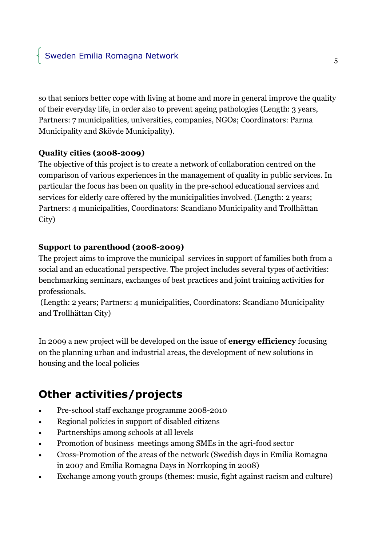so that seniors better cope with living at home and more in general improve the quality of their everyday life, in order also to prevent ageing pathologies (Length: 3 years, Partners: 7 municipalities, universities, companies, NGOs; Coordinators: Parma Municipality and Skövde Municipality).

#### **Quality cities (2008-2009)**

The objective of this project is to create a network of collaboration centred on the comparison of various experiences in the management of quality in public services. In particular the focus has been on quality in the pre-school educational services and services for elderly care offered by the municipalities involved. (Length: 2 years; Partners: 4 municipalities, Coordinators: Scandiano Municipality and Trollhättan City)

#### **Support to parenthood (2008-2009)**

The project aims to improve the municipal services in support of families both from a social and an educational perspective. The project includes several types of activities: benchmarking seminars, exchanges of best practices and joint training activities for professionals.

(Length: 2 years; Partners: 4 municipalities, Coordinators: Scandiano Municipality and Trollhättan City)

In 2009 a new project will be developed on the issue of **energy efficiency** focusing on the planning urban and industrial areas, the development of new solutions in housing and the local policies

# **Other activities/projects**

- Pre-school staff exchange programme 2008-2010
- Regional policies in support of disabled citizens
- Partnerships among schools at all levels
- Promotion of business meetings among SMEs in the agri-food sector
- Cross-Promotion of the areas of the network (Swedish days in Emilia Romagna in 2007 and Emilia Romagna Days in Norrkoping in 2008)
- Exchange among youth groups (themes: music, fight against racism and culture)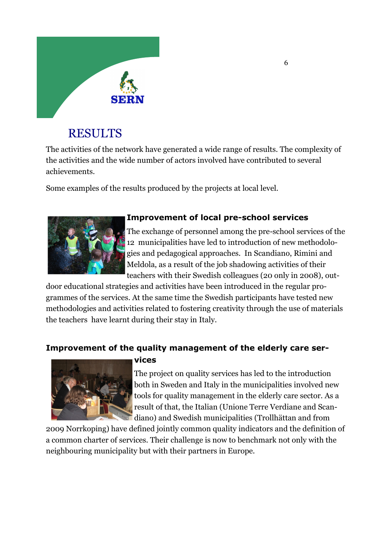

## RESULTS

The activities of the network have generated a wide range of results. The complexity of the activities and the wide number of actors involved have contributed to several achievements.

Some examples of the results produced by the projects at local level.



### **Improvement of local pre-school services**

The exchange of personnel among the pre-school services of the 12 municipalities have led to introduction of new methodologies and pedagogical approaches. In Scandiano, Rimini and Meldola, as a result of the job shadowing activities of their teachers with their Swedish colleagues (20 only in 2008), out-

door educational strategies and activities have been introduced in the regular programmes of the services. At the same time the Swedish participants have tested new methodologies and activities related to fostering creativity through the use of materials the teachers have learnt during their stay in Italy.

### **Improvement of the quality management of the elderly care ser-**



#### **vices**

The project on quality services has led to the introduction both in Sweden and Italy in the municipalities involved new tools for quality management in the elderly care sector. As a result of that, the Italian (Unione Terre Verdiane and Scandiano) and Swedish municipalities (Trollhättan and from

2009 Norrkoping) have defined jointly common quality indicators and the definition of a common charter of services. Their challenge is now to benchmark not only with the neighbouring municipality but with their partners in Europe.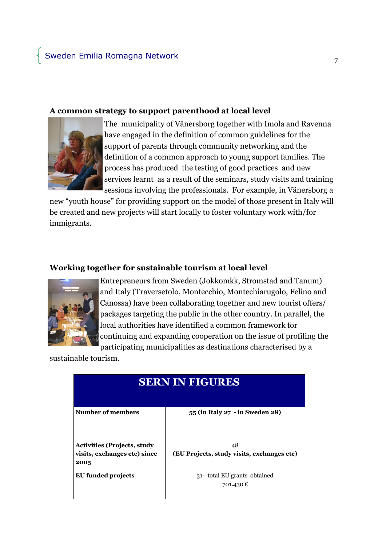#### **A common strategy to support parenthood at local level**



The municipality of Vänersborg together with Imola and Ravenna have engaged in the definition of common guidelines for the support of parents through community networking and the definition of a common approach to young support families. The process has produced the testing of good practices and new services learnt as a result of the seminars, study visits and training sessions involving the professionals. For example, in Vänersborg a

new "youth house" for providing support on the model of those present in Italy will be created and new projects will start locally to foster voluntary work with/for immigrants.

#### **Working together for sustainable tourism at local level**



Entrepreneurs from Sweden (Jokkomkk, Stromstad and Tanum) and Italy (Traversetolo, Montecchio, Montechiarugolo, Felino and Canossa) have been collaborating together and new tourist offers/ packages targeting the public in the other country. In parallel, the local authorities have identified a common framework for continuing and expanding cooperation on the issue of profiling the participating municipalities as destinations characterised by a

sustainable tourism.

| <b>SERN IN FIGURES</b>                                                     |                                                  |
|----------------------------------------------------------------------------|--------------------------------------------------|
| Number of members                                                          | 55 (in Italy 27 - in Sweden 28)                  |
| <b>Activities (Projects, study</b><br>visits, exchanges etc) since<br>2005 | 48<br>(EU Projects, study visits, exchanges etc) |
| EU funded projects                                                         | 31- total EU grants obtained<br>701.430€         |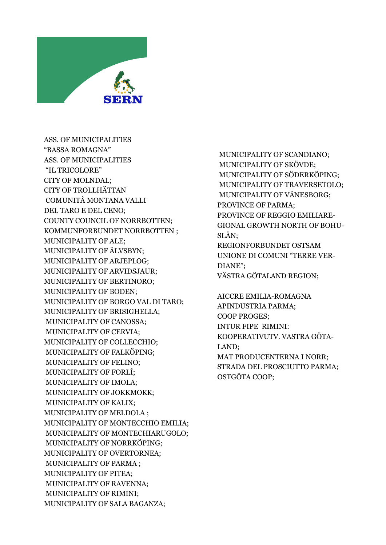

ASS. OF MUNICIPALITIES "BASSA ROMAGNA" ASS. OF MUNICIPALITIES "IL TRICOLORE" CITY OF MOLNDAL; CITY OF TROLLHÄTTAN COMUNITÀ MONTANA VALLI DEL TARO E DEL CENO; COUNTY COUNCIL OF NORRBOTTEN; KOMMUNFORBUNDET NORRBOTTEN ; MUNICIPALITY OF ALE; MUNICIPALITY OF ÄLVSBYN; MUNICIPALITY OF ARJEPLOG; MUNICIPALITY OF ARVIDSJAUR; MUNICIPALITY OF BERTINORO; MUNICIPALITY OF BODEN; MUNICIPALITY OF BORGO VAL DI TARO; MUNICIPALITY OF BRISIGHELLA; MUNICIPALITY OF CANOSSA; MUNICIPALITY OF CERVIA; MUNICIPALITY OF COLLECCHIO; MUNICIPALITY OF FALKÖPING; MUNICIPALITY OF FELINO; MUNICIPALITY OF FORLÍ; MUNICIPALITY OF IMOLA; MUNICIPALITY OF JOKKMOKK; MUNICIPALITY OF KALIX; MUNICIPALITY OF MELDOLA ; MUNICIPALITY OF MONTECCHIO EMILIA; MUNICIPALITY OF MONTECHIARUGOLO; MUNICIPALITY OF NORRKÖPING; MUNICIPALITY OF OVERTORNEA; MUNICIPALITY OF PARMA ; MUNICIPALITY OF PITEA; MUNICIPALITY OF RAVENNA; MUNICIPALITY OF RIMINI; MUNICIPALITY OF SALA BAGANZA;

MUNICIPALITY OF SCANDIANO; MUNICIPALITY OF SKÖVDE; MUNICIPALITY OF SÖDERKÖPING; MUNICIPALITY OF TRAVERSETOLO; MUNICIPALITY OF VÄNESBORG; PROVINCE OF PARMA; PROVINCE OF REGGIO EMILIARE-GIONAL GROWTH NORTH OF BOHU-SLÄN; REGIONFORBUNDET OSTSAM UNIONE DI COMUNI "TERRE VER-DIANE"; VÄSTRA GÖTALAND REGION;

AICCRE EMILIA-ROMAGNA APINDUSTRIA PARMA; COOP PROGES; INTUR FIPE RIMINI: KOOPERATIVUTV. VASTRA GÖTA-LAND; MAT PRODUCENTERNA I NORR; STRADA DEL PROSCIUTTO PARMA; OSTGÖTA COOP;